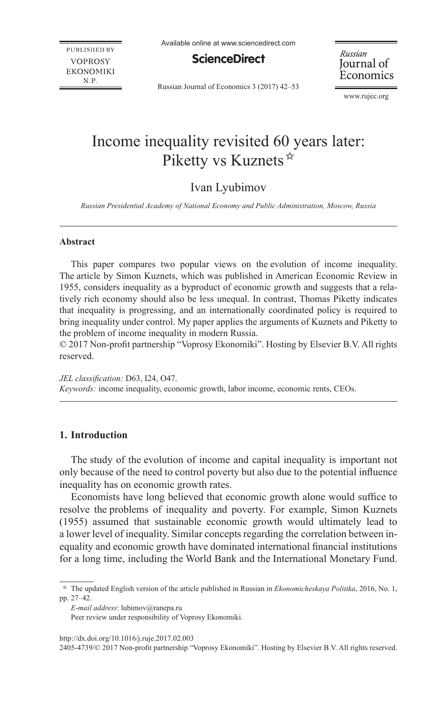**PUBLISHED BY VOPROSY EKONOMIKI** N<sub>P</sub>

Available online at www.sciencedirect.com

# **ScienceDirect**

Russian Journal of Economics 3 (2017) 42–53

Russian Journal of Economics

www.rujec.org

# Income inequality revisited 60 years later: Piketty vs Kuznets $\mathbb{\hat{z}}$

# Ivan Lyubimov

*Russian Presidential Academy of National Economy and Public Administration, Moscow, Russia*

#### **Abstract**

This paper compares two popular views on the evolution of income inequality. The article by Simon Kuznets, which was published in American Economic Review in 1955, considers inequality as a byproduct of economic growth and suggests that a relatively rich economy should also be less unequal. In contrast, Thomas Piketty indicates that inequality is progressing, and an internationally coordinated policy is required to bring inequality under control. My paper applies the arguments of Kuznets and Piketty to the problem of income inequality in modern Russia.

© 2017 Non-profit partnership "Voprosy Ekonomiki". Hosting by Elsevier B.V. All rights reserved.

*JEL classification:* D63, I24, O47. *Keywords:* income inequality, economic growth, labor income, economic rents, CEOs.

# **1. Introduction**

The study of the evolution of income and capital inequality is important not only because of the need to control poverty but also due to the potential influence inequality has on economic growth rates.

Economists have long believed that economic growth alone would suffice to resolve the problems of inequality and poverty. For example, Simon Kuznets (1955) assumed that sustainable economic growth would ultimately lead to a lower level of inequality. Similar concepts regarding the correlation between inequality and economic growth have dominated international financial institutions for a long time, including the World Bank and the International Monetary Fund.

*E-mail address*: lubimov@ranepa.ru

Peer review under responsibility of Voprosy Ekonomiki.

http://dx.doi.org/10.1016/j.ruje.2017.02.003

<sup>✩</sup> The updated English version of the article published in Russian in *Ekonomicheskaya Politika*, 2016, No. 1, pp. 27–42.

<sup>2405-4739/© 2017</sup> Non-profit partnership "Voprosy Ekonomiki". Hosting by Elsevier B.V. All rights reserved.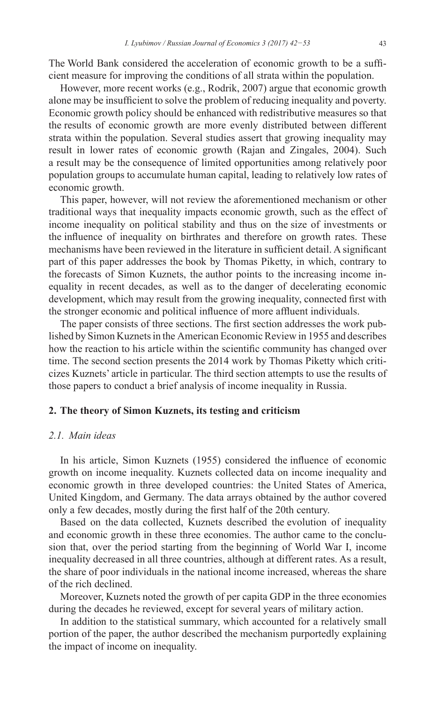The World Bank considered the acceleration of economic growth to be a sufficient measure for improving the conditions of all strata within the population.

However, more recent works (e.g., Rodrik, 2007) argue that economic growth alone may be insufficient to solve the problem of reducing inequality and poverty. Economic growth policy should be enhanced with redistributive measures so that the results of economic growth are more evenly distributed between different strata within the population. Several studies assert that growing inequality may result in lower rates of economic growth (Rajan and Zingales, 2004). Such a result may be the consequence of limited opportunities among relatively poor population groups to accumulate human capital, leading to relatively low rates of economic growth.

This paper, however, will not review the aforementioned mechanism or other traditional ways that inequality impacts economic growth, such as the effect of income inequality on political stability and thus on the size of investments or the influence of inequality on birthrates and therefore on growth rates. These mechanisms have been reviewed in the literature in sufficient detail. A significant part of this paper addresses the book by Thomas Piketty, in which, contrary to the forecasts of Simon Kuznets, the author points to the increasing income inequality in recent decades, as well as to the danger of decelerating economic development, which may result from the growing inequality, connected first with the stronger economic and political influence of more affluent individuals.

The paper consists of three sections. The first section addresses the work published by Simon Kuznets in the American Economic Review in 1955 and describes how the reaction to his article within the scientific community has changed over time. The second section presents the 2014 work by Thomas Piketty which criticizes Kuznets' article in particular. The third section attempts to use the results of those papers to conduct a brief analysis of income inequality in Russia.

# **2. The theory of Simon Kuznets, its testing and criticism**

#### *2.1. Main ideas*

In his article, Simon Kuznets (1955) considered the influence of economic growth on income inequality. Kuznets collected data on income inequality and economic growth in three developed countries: the United States of America, United Kingdom, and Germany. The data arrays obtained by the author covered only a few decades, mostly during the first half of the 20th century.

Based on the data collected, Kuznets described the evolution of inequality and economic growth in these three economies. The author came to the conclusion that, over the period starting from the beginning of World War I, income inequality decreased in all three countries, although at different rates. As a result, the share of poor individuals in the national income increased, whereas the share of the rich declined.

Moreover, Kuznets noted the growth of per capita GDP in the three economies during the decades he reviewed, except for several years of military action.

In addition to the statistical summary, which accounted for a relatively small portion of the paper, the author described the mechanism purportedly explaining the impact of income on inequality.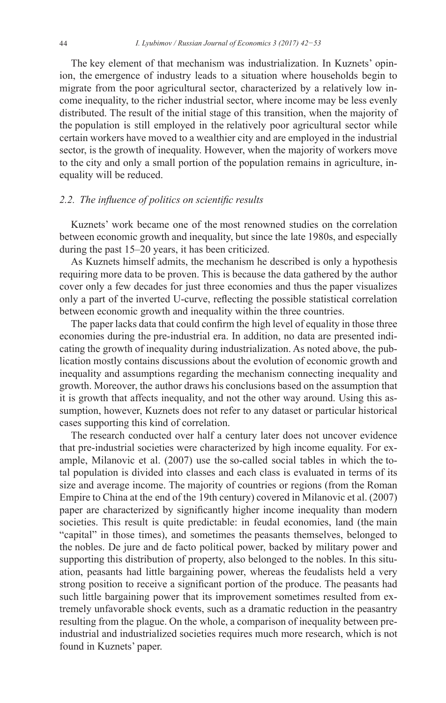The key element of that mechanism was industrialization. In Kuznets' opinion, the emergence of industry leads to a situation where households begin to migrate from the poor agricultural sector, characterized by a relatively low income inequality, to the richer industrial sector, where income may be less evenly distributed. The result of the initial stage of this transition, when the majority of the population is still employed in the relatively poor agricultural sector while certain workers have moved to a wealthier city and are employed in the industrial sector, is the growth of inequality. However, when the majority of workers move to the city and only a small portion of the population remains in agriculture, inequality will be reduced.

# *2.2. The influence of politics on scientific results*

Kuznets' work became one of the most renowned studies on the correlation between economic growth and inequality, but since the late 1980s, and especially during the past 15–20 years, it has been criticized.

As Kuznets himself admits, the mechanism he described is only a hypothesis requiring more data to be proven. This is because the data gathered by the author cover only a few decades for just three economies and thus the paper visualizes only a part of the inverted U-curve, reflecting the possible statistical correlation between economic growth and inequality within the three countries.

The paper lacks data that could confirm the high level of equality in those three economies during the pre-industrial era. In addition, no data are presented indicating the growth of inequality during industrialization. As noted above, the publication mostly contains discussions about the evolution of economic growth and inequality and assumptions regarding the mechanism connecting inequality and growth. Moreover, the author draws his conclusions based on the assumption that it is growth that affects inequality, and not the other way around. Using this assumption, however, Kuznets does not refer to any dataset or particular historical cases supporting this kind of correlation.

The research conducted over half a century later does not uncover evidence that pre-industrial societies were characterized by high income equality. For example, Milanovic et al. (2007) use the so-called social tables in which the total population is divided into classes and each class is evaluated in terms of its size and average income. The majority of countries or regions (from the Roman Empire to China at the end of the 19th century) covered in Milanovic et al. (2007) paper are characterized by significantly higher income inequality than modern societies. This result is quite predictable: in feudal economies, land (the main "capital" in those times), and sometimes the peasants themselves, belonged to the nobles. De jure and de facto political power, backed by military power and supporting this distribution of property, also belonged to the nobles. In this situation, peasants had little bargaining power, whereas the feudalists held a very strong position to receive a significant portion of the produce. The peasants had such little bargaining power that its improvement sometimes resulted from extremely unfavorable shock events, such as a dramatic reduction in the peasantry resulting from the plague. On the whole, a comparison of inequality between preindustrial and industrialized societies requires much more research, which is not found in Kuznets' paper.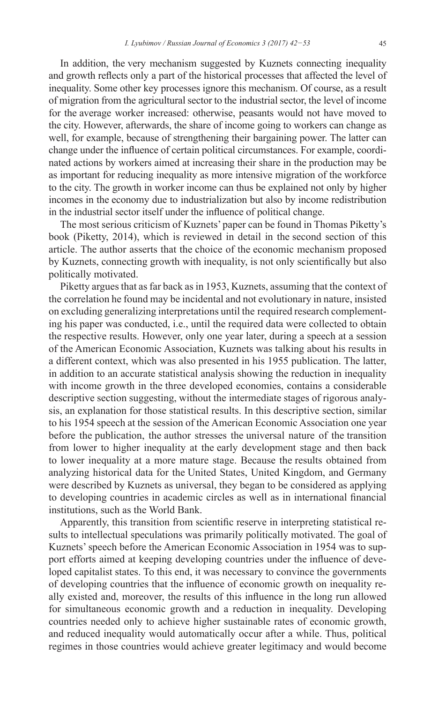In addition, the very mechanism suggested by Kuznets connecting inequality and growth reflects only a part of the historical processes that affected the level of inequality. Some other key processes ignore this mechanism. Of course, as a result of migration from the agricultural sector to the industrial sector, the level of income for the average worker increased: otherwise, peasants would not have moved to the city. However, afterwards, the share of income going to workers can change as well, for example, because of strengthening their bargaining power. The latter can change under the influence of certain political circumstances. For example, coordinated actions by workers aimed at increasing their share in the production may be as important for reducing inequality as more intensive migration of the workforce to the city. The growth in worker income can thus be explained not only by higher incomes in the economy due to industrialization but also by income redistribution in the industrial sector itself under the influence of political change.

The most serious criticism of Kuznets' paper can be found in Thomas Piketty's book (Piketty, 2014), which is reviewed in detail in the second section of this article. The author asserts that the choice of the economic mechanism proposed by Kuznets, connecting growth with inequality, is not only scientifically but also politically motivated.

Piketty argues that as far back as in 1953, Kuznets, assuming that the context of the correlation he found may be incidental and not evolutionary in nature, insisted on excluding generalizing interpretations until the required research complementing his paper was conducted, i.e., until the required data were collected to obtain the respective results. However, only one year later, during a speech at a session of the American Economic Association, Kuznets was talking about his results in a different context, which was also presented in his 1955 publication. The latter, in addition to an accurate statistical analysis showing the reduction in inequality with income growth in the three developed economies, contains a considerable descriptive section suggesting, without the intermediate stages of rigorous analysis, an explanation for those statistical results. In this descriptive section, similar to his 1954 speech at the session of the American Economic Association one year before the publication, the author stresses the universal nature of the transition from lower to higher inequality at the early development stage and then back to lower inequality at a more mature stage. Because the results obtained from analyzing historical data for the United States, United Kingdom, and Germany were described by Kuznets as universal, they began to be considered as applying to developing countries in academic circles as well as in international financial institutions, such as the World Bank.

Apparently, this transition from scientific reserve in interpreting statistical results to intellectual speculations was primarily politically motivated. The goal of Kuznets' speech before the American Economic Association in 1954 was to support efforts aimed at keeping developing countries under the influence of developed capitalist states. To this end, it was necessary to convince the governments of developing countries that the influence of economic growth on inequality really existed and, moreover, the results of this influence in the long run allowed for simultaneous economic growth and a reduction in inequality. Developing countries needed only to achieve higher sustainable rates of economic growth, and reduced inequality would automatically occur after a while. Thus, political regimes in those countries would achieve greater legitimacy and would become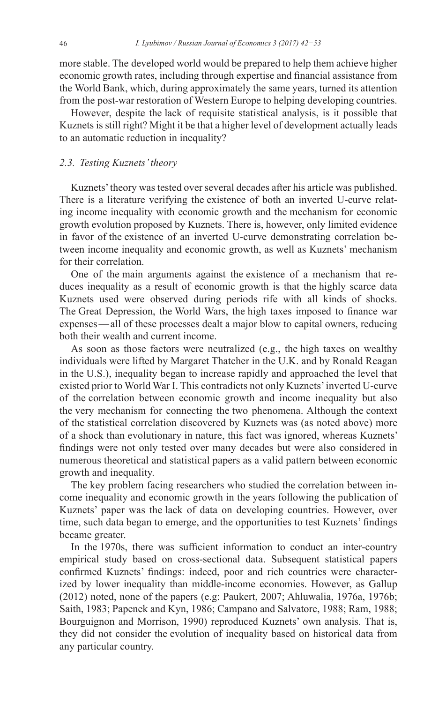more stable. The developed world would be prepared to help them achieve higher economic growth rates, including through expertise and financial assistance from the World Bank, which, during approximately the same years, turned its attention from the post-war restoration of Western Europe to helping developing countries.

However, despite the lack of requisite statistical analysis, is it possible that Kuznets is still right? Might it be that a higher level of development actually leads to an automatic reduction in inequality?

#### *2.3. Testing Kuznets' theory*

Kuznets' theory was tested over several decades after his article was published. There is a literature verifying the existence of both an inverted U-curve relating income inequality with economic growth and the mechanism for economic growth evolution proposed by Kuznets. There is, however, only limited evidence in favor of the existence of an inverted U-curve demonstrating correlation between income inequality and economic growth, as well as Kuznets' mechanism for their correlation.

One of the main arguments against the existence of a mechanism that reduces inequality as a result of economic growth is that the highly scarce data Kuznets used were observed during periods rife with all kinds of shocks. The Great Depression, the World Wars, the high taxes imposed to finance war expenses—all of these processes dealt a major blow to capital owners, reducing both their wealth and current income.

As soon as those factors were neutralized (e.g., the high taxes on wealthy individuals were lifted by Margaret Thatcher in the U.K. and by Ronald Reagan in the U.S.), inequality began to increase rapidly and approached the level that existed prior to World War I. This contradicts not only Kuznets' inverted U-curve of the correlation between economic growth and income inequality but also the very mechanism for connecting the two phenomena. Although the context of the statistical correlation discovered by Kuznets was (as noted above) more of a shock than evolutionary in nature, this fact was ignored, whereas Kuznets' findings were not only tested over many decades but were also considered in numerous theoretical and statistical papers as a valid pattern between economic growth and inequality.

The key problem facing researchers who studied the correlation between income inequality and economic growth in the years following the publication of Kuznets' paper was the lack of data on developing countries. However, over time, such data began to emerge, and the opportunities to test Kuznets' findings became greater.

In the 1970s, there was sufficient information to conduct an inter-country empirical study based on cross-sectional data. Subsequent statistical papers confirmed Kuznets' findings: indeed, poor and rich countries were characterized by lower inequality than middle-income economies. However, as Gallup (2012) noted, none of the papers (e.g: Paukert, 2007; Ahluwalia, 1976a, 1976b; Saith, 1983; Papenek and Kyn, 1986; Campano and Salvatore, 1988; Ram, 1988; Bourguignon and Morrison, 1990) reproduced Kuznets' own analysis. That is, they did not consider the evolution of inequality based on historical data from any particular country.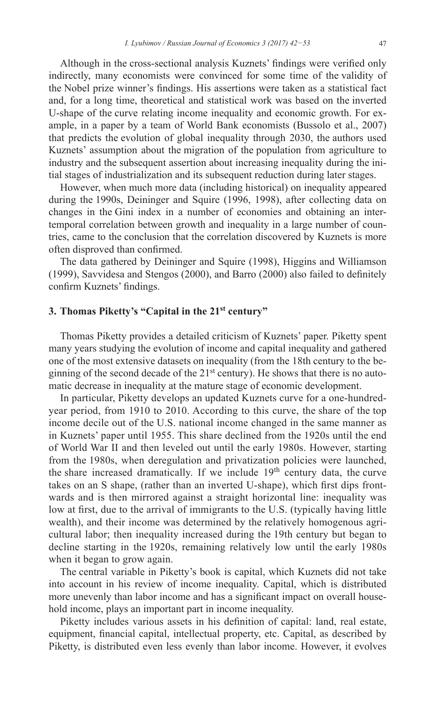Although in the cross-sectional analysis Kuznets' findings were verified only indirectly, many economists were convinced for some time of the validity of the Nobel prize winner's findings. His assertions were taken as a statistical fact and, for a long time, theoretical and statistical work was based on the inverted U-shape of the curve relating income inequality and economic growth. For example, in a paper by a team of World Bank economists (Bussolo et al., 2007) that predicts the evolution of global inequality through 2030, the authors used Kuznets' assumption about the migration of the population from agriculture to industry and the subsequent assertion about increasing inequality during the initial stages of industrialization and its subsequent reduction during later stages.

However, when much more data (including historical) on inequality appeared during the 1990s, Deininger and Squire (1996, 1998), after collecting data on changes in the Gini index in a number of economies and obtaining an intertemporal correlation between growth and inequality in a large number of countries, came to the conclusion that the correlation discovered by Kuznets is more often disproved than confirmed.

The data gathered by Deininger and Squire (1998), Higgins and Williamson (1999), Savvidesa and Stengos (2000), and Barro (2000) also failed to definitely confirm Kuznets' findings.

# **3. Thomas Piketty's "Capital in the 21st century"**

Thomas Piketty provides a detailed criticism of Kuznets' paper. Piketty spent many years studying the evolution of income and capital inequality and gathered one of the most extensive datasets on inequality (from the 18th century to the beginning of the second decade of the  $21<sup>st</sup>$  century). He shows that there is no automatic decrease in inequality at the mature stage of economic development.

In particular, Piketty develops an updated Kuznets curve for a one-hundredyear period, from 1910 to 2010. According to this curve, the share of the top income decile out of the U.S. national income changed in the same manner as in Kuznets' paper until 1955. This share declined from the 1920s until the end of World War II and then leveled out until the early 1980s. However, starting from the 1980s, when deregulation and privatization policies were launched, the share increased dramatically. If we include  $19<sup>th</sup>$  century data, the curve takes on an S shape, (rather than an inverted U-shape), which first dips frontwards and is then mirrored against a straight horizontal line: inequality was low at first, due to the arrival of immigrants to the U.S. (typically having little wealth), and their income was determined by the relatively homogenous agricultural labor; then inequality increased during the 19th century but began to decline starting in the 1920s, remaining relatively low until the early 1980s when it began to grow again.

The central variable in Piketty's book is capital, which Kuznets did not take into account in his review of income inequality. Capital, which is distributed more unevenly than labor income and has a significant impact on overall household income, plays an important part in income inequality.

Piketty includes various assets in his definition of capital: land, real estate, equipment, financial capital, intellectual property, etc. Capital, as described by Piketty, is distributed even less evenly than labor income. However, it evolves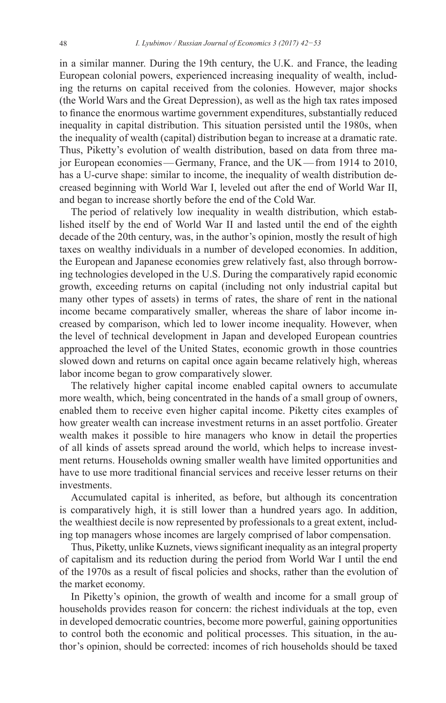in a similar manner. During the 19th century, the U.K. and France, the leading European colonial powers, experienced increasing inequality of wealth, including the returns on capital received from the colonies. However, major shocks (the World Wars and the Great Depression), as well as the high tax rates imposed to finance the enormous wartime government expenditures, substantially reduced inequality in capital distribution. This situation persisted until the 1980s, when the inequality of wealth (capital) distribution began to increase at a dramatic rate. Thus, Piketty's evolution of wealth distribution, based on data from three major European economies—Germany, France, and the UK—from 1914 to 2010, has a U-curve shape: similar to income, the inequality of wealth distribution decreased beginning with World War I, leveled out after the end of World War II, and began to increase shortly before the end of the Cold War.

The period of relatively low inequality in wealth distribution, which established itself by the end of World War II and lasted until the end of the eighth decade of the 20th century, was, in the author's opinion, mostly the result of high taxes on wealthy individuals in a number of developed economies. In addition, the European and Japanese economies grew relatively fast, also through borrowing technologies developed in the U.S. During the comparatively rapid economic growth, exceeding returns on capital (including not only industrial capital but many other types of assets) in terms of rates, the share of rent in the national income became comparatively smaller, whereas the share of labor income increased by comparison, which led to lower income inequality. However, when the level of technical development in Japan and developed European countries approached the level of the United States, economic growth in those countries slowed down and returns on capital once again became relatively high, whereas labor income began to grow comparatively slower.

The relatively higher capital income enabled capital owners to accumulate more wealth, which, being concentrated in the hands of a small group of owners, enabled them to receive even higher capital income. Piketty cites examples of how greater wealth can increase investment returns in an asset portfolio. Greater wealth makes it possible to hire managers who know in detail the properties of all kinds of assets spread around the world, which helps to increase investment returns. Households owning smaller wealth have limited opportunities and have to use more traditional financial services and receive lesser returns on their investments.

Accumulated capital is inherited, as before, but although its concentration is comparatively high, it is still lower than a hundred years ago. In addition, the wealthiest decile is now represented by professionals to a great extent, including top managers whose incomes are largely comprised of labor compensation.

Thus, Piketty, unlike Kuznets, views significant inequality as an integral property of capitalism and its reduction during the period from World War I until the end of the 1970s as a result of fiscal policies and shocks, rather than the evolution of the market economy.

In Piketty's opinion, the growth of wealth and income for a small group of households provides reason for concern: the richest individuals at the top, even in developed democratic countries, become more powerful, gaining opportunities to control both the economic and political processes. This situation, in the author's opinion, should be corrected: incomes of rich households should be taxed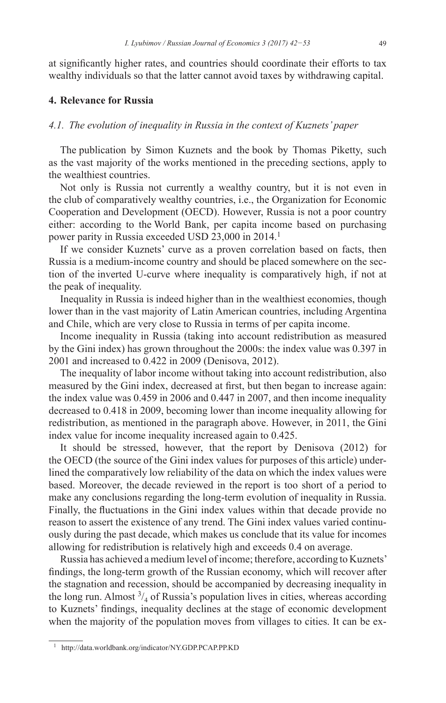at significantly higher rates, and countries should coordinate their efforts to tax wealthy individuals so that the latter cannot avoid taxes by withdrawing capital.

#### **4. Relevance for Russia**

# *4.1. The evolution of inequality in Russia in the context of Kuznets' paper*

The publication by Simon Kuznets and the book by Thomas Piketty, such as the vast majority of the works mentioned in the preceding sections, apply to the wealthiest countries.

Not only is Russia not currently a wealthy country, but it is not even in the club of comparatively wealthy countries, i.e., the Organization for Economic Cooperation and Development (OECD). However, Russia is not a poor country either: according to the World Bank, per capita income based on purchasing power parity in Russia exceeded USD 23,000 in 2014.<sup>1</sup>

If we consider Kuznets' curve as a proven correlation based on facts, then Russia is a medium-income country and should be placed somewhere on the section of the inverted U-curve where inequality is comparatively high, if not at the peak of inequality.

Inequality in Russia is indeed higher than in the wealthiest economies, though lower than in the vast majority of Latin American countries, including Argentina and Chile, which are very close to Russia in terms of per capita income.

Income inequality in Russia (taking into account redistribution as measured by the Gini index) has grown throughout the 2000s: the index value was 0.397 in 2001 and increased to 0.422 in 2009 (Denisova, 2012).

The inequality of labor income without taking into account redistribution, also measured by the Gini index, decreased at first, but then began to increase again: the index value was 0.459 in 2006 and 0.447 in 2007, and then income inequality decreased to 0.418 in 2009, becoming lower than income inequality allowing for redistribution, as mentioned in the paragraph above. However, in 2011, the Gini index value for income inequality increased again to 0.425.

It should be stressed, however, that the report by Denisova (2012) for the OECD (the source of the Gini index values for purposes of this article) underlined the comparatively low reliability of the data on which the index values were based. Moreover, the decade reviewed in the report is too short of a period to make any conclusions regarding the long-term evolution of inequality in Russia. Finally, the fluctuations in the Gini index values within that decade provide no reason to assert the existence of any trend. The Gini index values varied continuously during the past decade, which makes us conclude that its value for incomes allowing for redistribution is relatively high and exceeds 0.4 on average.

Russia has achieved a medium level of income; therefore, according to Kuznets' findings, the long-term growth of the Russian economy, which will recover after the stagnation and recession, should be accompanied by decreasing inequality in the long run. Almost  $\frac{3}{4}$  of Russia's population lives in cities, whereas according to Kuznets' findings, inequality declines at the stage of economic development when the majority of the population moves from villages to cities. It can be ex-

<sup>1</sup> http://data.worldbank.org/indicator/NY.GDP.PCAP.PP.KD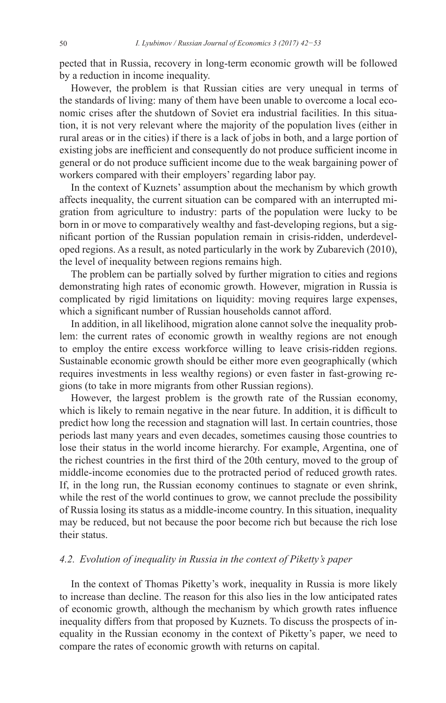pected that in Russia, recovery in long-term economic growth will be followed by a reduction in income inequality.

However, the problem is that Russian cities are very unequal in terms of the standards of living: many of them have been unable to overcome a local economic crises after the shutdown of Soviet era industrial facilities. In this situation, it is not very relevant where the majority of the population lives (either in rural areas or in the cities) if there is a lack of jobs in both, and a large portion of existing jobs are inefficient and consequently do not produce sufficient income in general or do not produce sufficient income due to the weak bargaining power of workers compared with their employers' regarding labor pay.

In the context of Kuznets' assumption about the mechanism by which growth affects inequality, the current situation can be compared with an interrupted migration from agriculture to industry: parts of the population were lucky to be born in or move to comparatively wealthy and fast-developing regions, but a significant portion of the Russian population remain in crisis-ridden, underdeveloped regions. As a result, as noted particularly in the work by Zubarevich (2010), the level of inequality between regions remains high.

The problem can be partially solved by further migration to cities and regions demonstrating high rates of economic growth. However, migration in Russia is complicated by rigid limitations on liquidity: moving requires large expenses, which a significant number of Russian households cannot afford.

In addition, in all likelihood, migration alone cannot solve the inequality problem: the current rates of economic growth in wealthy regions are not enough to employ the entire excess workforce willing to leave crisis-ridden regions. Sustainable economic growth should be either more even geographically (which requires investments in less wealthy regions) or even faster in fast-growing regions (to take in more migrants from other Russian regions).

However, the largest problem is the growth rate of the Russian economy, which is likely to remain negative in the near future. In addition, it is difficult to predict how long the recession and stagnation will last. In certain countries, those periods last many years and even decades, sometimes causing those countries to lose their status in the world income hierarchy. For example, Argentina, one of the richest countries in the first third of the 20th century, moved to the group of middle-income economies due to the protracted period of reduced growth rates. If, in the long run, the Russian economy continues to stagnate or even shrink, while the rest of the world continues to grow, we cannot preclude the possibility of Russia losing its status as a middle-income country. In this situation, inequality may be reduced, but not because the poor become rich but because the rich lose their status.

# *4.2. Evolution of inequality in Russia in the context of Piketty's paper*

In the context of Thomas Piketty's work, inequality in Russia is more likely to increase than decline. The reason for this also lies in the low anticipated rates of economic growth, although the mechanism by which growth rates influence inequality differs from that proposed by Kuznets. To discuss the prospects of inequality in the Russian economy in the context of Piketty's paper, we need to compare the rates of economic growth with returns on capital.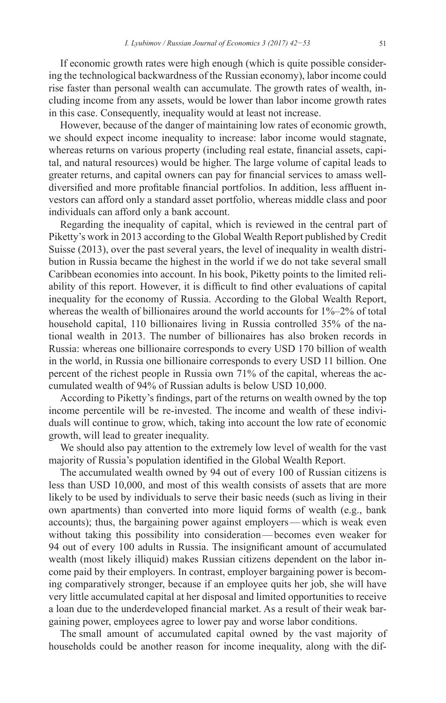If economic growth rates were high enough (which is quite possible considering the technological backwardness of the Russian economy), labor income could rise faster than personal wealth can accumulate. The growth rates of wealth, including income from any assets, would be lower than labor income growth rates in this case. Consequently, inequality would at least not increase.

However, because of the danger of maintaining low rates of economic growth, we should expect income inequality to increase: labor income would stagnate, whereas returns on various property (including real estate, financial assets, capital, and natural resources) would be higher. The large volume of capital leads to greater returns, and capital owners can pay for financial services to amass welldiversified and more profitable financial portfolios. In addition, less affluent investors can afford only a standard asset portfolio, whereas middle class and poor individuals can afford only a bank account.

Regarding the inequality of capital, which is reviewed in the central part of Piketty's work in 2013 according to the Global Wealth Report published by Credit Suisse (2013), over the past several years, the level of inequality in wealth distribution in Russia became the highest in the world if we do not take several small Caribbean economies into account. In his book, Piketty points to the limited reliability of this report. However, it is difficult to find other evaluations of capital inequality for the economy of Russia. According to the Global Wealth Report, whereas the wealth of billionaires around the world accounts for 1%–2% of total household capital, 110 billionaires living in Russia controlled 35% of the national wealth in 2013. The number of billionaires has also broken records in Russia: whereas one billionaire corresponds to every USD 170 billion of wealth in the world, in Russia one billionaire corresponds to every USD 11 billion. One percent of the richest people in Russia own 71% of the capital, whereas the accumulated wealth of 94% of Russian adults is below USD 10,000.

According to Piketty's findings, part of the returns on wealth owned by the top income percentile will be re-invested. The income and wealth of these individuals will continue to grow, which, taking into account the low rate of economic growth, will lead to greater inequality.

We should also pay attention to the extremely low level of wealth for the vast majority of Russia's population identified in the Global Wealth Report.

The accumulated wealth owned by 94 out of every 100 of Russian citizens is less than USD 10,000, and most of this wealth consists of assets that are more likely to be used by individuals to serve their basic needs (such as living in their own apartments) than converted into more liquid forms of wealth (e.g., bank accounts); thus, the bargaining power against employers—which is weak even without taking this possibility into consideration—becomes even weaker for 94 out of every 100 adults in Russia. The insignificant amount of accumulated wealth (most likely illiquid) makes Russian citizens dependent on the labor income paid by their employers. In contrast, employer bargaining power is becoming comparatively stronger, because if an employee quits her job, she will have very little accumulated capital at her disposal and limited opportunities to receive a loan due to the underdeveloped financial market. As a result of their weak bargaining power, employees agree to lower pay and worse labor conditions.

The small amount of accumulated capital owned by the vast majority of households could be another reason for income inequality, along with the dif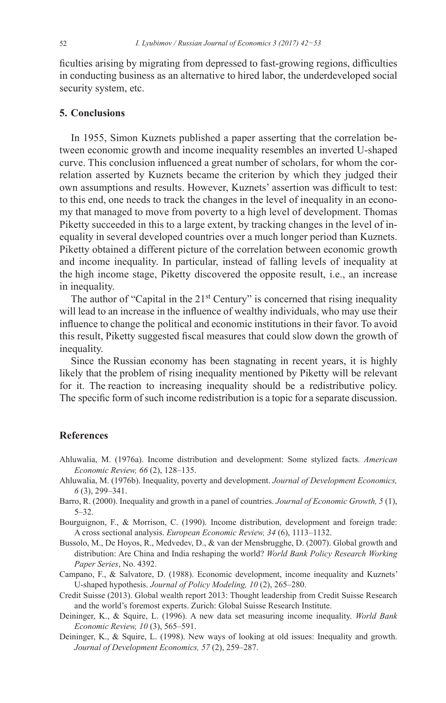ficulties arising by migrating from depressed to fast-growing regions, difficulties in conducting business as an alternative to hired labor, the underdeveloped social security system, etc.

# **5. Conclusions**

In 1955, Simon Kuznets published a paper asserting that the correlation between economic growth and income inequality resembles an inverted U-shaped curve. This conclusion influenced a great number of scholars, for whom the correlation asserted by Kuznets became the criterion by which they judged their own assumptions and results. However, Kuznets' assertion was difficult to test: to this end, one needs to track the changes in the level of inequality in an economy that managed to move from poverty to a high level of development. Thomas Piketty succeeded in this to a large extent, by tracking changes in the level of inequality in several developed countries over a much longer period than Kuznets. Piketty obtained a different picture of the correlation between economic growth and income inequality. In particular, instead of falling levels of inequality at the high income stage, Piketty discovered the opposite result, i.e., an increase in inequality.

The author of "Capital in the  $21<sup>st</sup>$  Century" is concerned that rising inequality will lead to an increase in the influence of wealthy individuals, who may use their influence to change the political and economic institutions in their favor. To avoid this result, Piketty suggested fiscal measures that could slow down the growth of inequality.

Since the Russian economy has been stagnating in recent years, it is highly likely that the problem of rising inequality mentioned by Piketty will be relevant for it. The reaction to increasing inequality should be a redistributive policy. The specific form of such income redistribution is a topic for a separate discussion.

# **References**

- Ahluwalia, M. (1976a). Income distribution and development: Some stylized facts. *American Economic Review, 66* (2), 128–135.
- Ahluwalia, M. (1976b). Inequality, poverty and development. *Journal of Development Economics, 6* (3), 299–341.
- Barro, R. (2000). Inequality and growth in a panel of countries. *Journal of Economic Growth, 5* (1), 5–32.
- Bourguignon, F., & Morrison, C. (1990). Income distribution, development and foreign trade: A cross sectional analysis. *European Economic Review, 34* (6), 1113–1132.
- Bussolo, M., De Hoyos, R., Medvedev, D., & van der Mensbrugghe, D. (2007). Global growth and distribution: Are China and India reshaping the world? *World Bank Policy Research Working Paper Series*, No. 4392.
- Campano, F., & Salvatore, D. (1988). Economic development, income inequality and Kuznets' U-shaped hypothesis. *Journal of Policy Modeling, 10* (2), 265–280.
- Credit Suisse (2013). Global wealth report 2013: Thought leadership from Credit Suisse Research and the world's foremost experts. Zurich: Global Suisse Research Institute.
- Deininger, K., & Squire, L. (1996). A new data set measuring income inequality. *World Bank Economic Review, 10* (3), 565–591.
- Deininger, K., & Squire, L. (1998). New ways of looking at old issues: Inequality and growth. *Journal of Development Economics, 57* (2), 259–287.